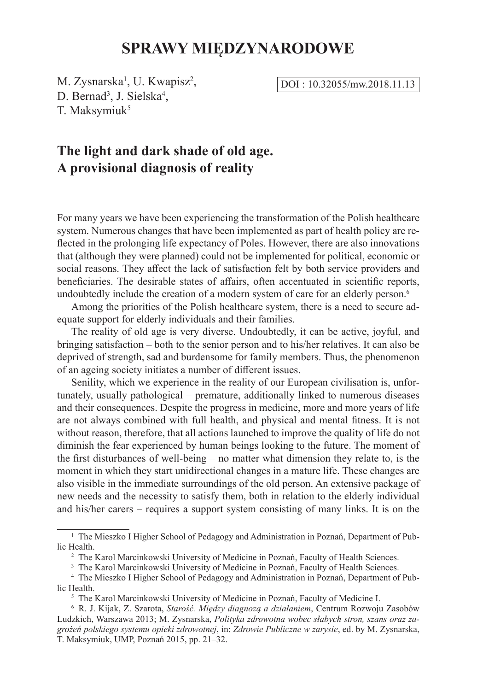# **SPRAWY MIĘDZYNARODOWE**

M. Zysnarska<sup>1</sup>, U. Kwapisz<sup>2</sup>, D. Bernad<sup>3</sup>, J. Sielska<sup>4</sup>, T. Maksymiuk<sup>5</sup>

DOI : 10.32055/mw.2018.11.13

# **The light and dark shade of old age. A provisional diagnosis of reality**

For many years we have been experiencing the transformation of the Polish healthcare system. Numerous changes that have been implemented as part of health policy are reflected in the prolonging life expectancy of Poles. However, there are also innovations that (although they were planned) could not be implemented for political, economic or social reasons. They affect the lack of satisfaction felt by both service providers and beneficiaries. The desirable states of affairs, often accentuated in scientific reports, undoubtedly include the creation of a modern system of care for an elderly person.<sup>6</sup>

Among the priorities of the Polish healthcare system, there is a need to secure adequate support for elderly individuals and their families.

The reality of old age is very diverse. Undoubtedly, it can be active, joyful, and bringing satisfaction – both to the senior person and to his/her relatives. It can also be deprived of strength, sad and burdensome for family members. Thus, the phenomenon of an ageing society initiates a number of different issues.

Senility, which we experience in the reality of our European civilisation is, unfortunately, usually pathological – premature, additionally linked to numerous diseases and their consequences. Despite the progress in medicine, more and more years of life are not always combined with full health, and physical and mental fitness. It is not without reason, therefore, that all actions launched to improve the quality of life do not diminish the fear experienced by human beings looking to the future. The moment of the first disturbances of well-being – no matter what dimension they relate to, is the moment in which they start unidirectional changes in a mature life. These changes are also visible in the immediate surroundings of the old person. An extensive package of new needs and the necessity to satisfy them, both in relation to the elderly individual and his/her carers – requires a support system consisting of many links. It is on the

<sup>1</sup> The Mieszko I Higher School of Pedagogy and Administration in Poznań, Department of Public Health.

<sup>2</sup> The Karol Marcinkowski University of Medicine in Poznań, Faculty of Health Sciences.

<sup>&</sup>lt;sup>3</sup> The Karol Marcinkowski University of Medicine in Poznań, Faculty of Health Sciences.

<sup>4</sup> The Mieszko I Higher School of Pedagogy and Administration in Poznań, Department of Public Health.

<sup>5</sup> The Karol Marcinkowski University of Medicine in Poznań, Faculty of Medicine I.

<sup>6</sup> R. J. Kijak, Z. Szarota, *Starość. Między diagnozą a działaniem*, Centrum Rozwoju Zasobów Ludzkich, Warszawa 2013; M. Zysnarska, *Polityka zdrowotna wobec słabych stron, szans oraz zagrożeń polskiego systemu opieki zdrowotnej*, in: *Zdrowie Publiczne w zarysie*, ed. by M. Zysnarska, T. Maksymiuk, UMP, Poznań 2015, pp. 21–32.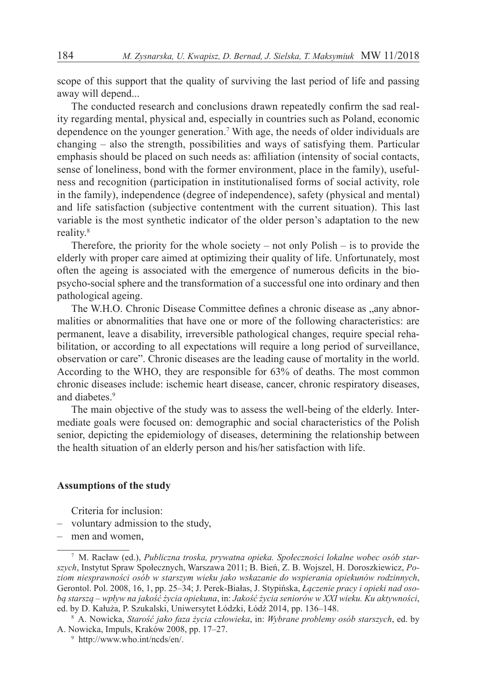scope of this support that the quality of surviving the last period of life and passing away will depend...

The conducted research and conclusions drawn repeatedly confirm the sad reality regarding mental, physical and, especially in countries such as Poland, economic dependence on the younger generation.7 With age, the needs of older individuals are changing – also the strength, possibilities and ways of satisfying them. Particular emphasis should be placed on such needs as: affiliation (intensity of social contacts, sense of loneliness, bond with the former environment, place in the family), usefulness and recognition (participation in institutionalised forms of social activity, role in the family), independence (degree of independence), safety (physical and mental) and life satisfaction (subjective contentment with the current situation). This last variable is the most synthetic indicator of the older person's adaptation to the new reality.8

Therefore, the priority for the whole society – not only Polish – is to provide the elderly with proper care aimed at optimizing their quality of life. Unfortunately, most often the ageing is associated with the emergence of numerous deficits in the biopsycho-social sphere and the transformation of a successful one into ordinary and then pathological ageing.

The W.H.O. Chronic Disease Committee defines a chronic disease as "any abnormalities or abnormalities that have one or more of the following characteristics: are permanent, leave a disability, irreversible pathological changes, require special rehabilitation, or according to all expectations will require a long period of surveillance, observation or care". Chronic diseases are the leading cause of mortality in the world. According to the WHO, they are responsible for 63% of deaths. The most common chronic diseases include: ischemic heart disease, cancer, chronic respiratory diseases, and diabetes.<sup>9</sup>

The main objective of the study was to assess the well-being of the elderly. Intermediate goals were focused on: demographic and social characteristics of the Polish senior, depicting the epidemiology of diseases, determining the relationship between the health situation of an elderly person and his/her satisfaction with life.

## **Assumptions of the study**

Criteria for inclusion:

- voluntary admission to the study,
- men and women,

<sup>7</sup> M. Racław (ed.), *Publiczna troska, prywatna opieka. Społeczności lokalne wobec osób starszych*, Instytut Spraw Społecznych, Warszawa 2011; B. Bień, Z. B. Wojszel, H. Doroszkiewicz, *Poziom niesprawności osób w starszym wieku jako wskazanie do wspierania opiekunów rodzinnych*, Gerontol. Pol. 2008, 16, 1, pp. 25–34; J. Perek-Białas, J. Stypińska, *Łączenie pracy i opieki nad osobą starszą – wpływ na jakość życia opiekuna*, in: *Jakość życia seniorów w XXI wieku. Ku aktywności*, ed. by D. Kałuża, P. Szukalski, Uniwersytet Łódzki, Łódź 2014, pp. 136–148.

<sup>8</sup> A. Nowicka, *Starość jako faza życia człowieka*, in: *Wybrane problemy osób starszych*, ed. by A. Nowicka, Impuls, Kraków 2008, pp. 17–27.

<sup>9</sup> http://www.who.int/ncds/en/.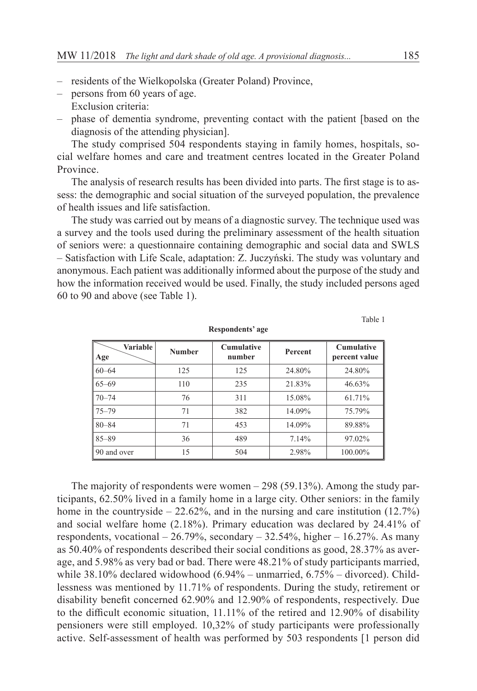- residents of the Wielkopolska (Greater Poland) Province,
- persons from 60 years of age. Exclusion criteria:
- phase of dementia syndrome, preventing contact with the patient [based on the diagnosis of the attending physician].

The study comprised 504 respondents staying in family homes, hospitals, social welfare homes and care and treatment centres located in the Greater Poland Province.

The analysis of research results has been divided into parts. The first stage is to assess: the demographic and social situation of the surveyed population, the prevalence of health issues and life satisfaction.

The study was carried out by means of a diagnostic survey. The technique used was a survey and the tools used during the preliminary assessment of the health situation of seniors were: a questionnaire containing demographic and social data and SWLS – Satisfaction with Life Scale, adaptation: Z. Juczyński. The study was voluntary and anonymous. Each patient was additionally informed about the purpose of the study and how the information received would be used. Finally, the study included persons aged 60 to 90 and above (see Table 1).

**Respondents' age**

Table 1

| Variable<br>Age | <b>Number</b> | <b>Cumulative</b><br>number | <b>Percent</b> | <b>Cumulative</b><br>percent value |
|-----------------|---------------|-----------------------------|----------------|------------------------------------|
| $60 - 64$       | 125           | 125                         | 24.80%         | 24.80%                             |
| $65 - 69$       | 110           | 235                         | 21.83%         | 46.63%                             |
| $70 - 74$       | 76            | 311                         | 15.08%         | 61.71%                             |
| $75 - 79$       | 71            | 382                         | 14.09%         | 75.79%                             |
| $80 - 84$       | 71            | 453                         | 14.09%         | 89.88%                             |
| $85 - 89$       | 36            | 489                         | 7.14%          | 97.02%                             |
| 90 and over     | 15            | 504                         | 2.98%          | 100.00%                            |

The majority of respondents were women – 298 (59.13%). Among the study participants, 62.50% lived in a family home in a large city. Other seniors: in the family home in the countryside  $-22.62\%$ , and in the nursing and care institution (12.7%) and social welfare home (2.18%). Primary education was declared by 24.41% of respondents, vocational  $-26.79\%$ , secondary  $-32.54\%$ , higher  $-16.27\%$ . As many as 50.40% of respondents described their social conditions as good, 28.37% as average, and 5.98% as very bad or bad. There were 48.21% of study participants married, while 38.10% declared widowhood (6.94% – unmarried, 6.75% – divorced). Childlessness was mentioned by 11.71% of respondents. During the study, retirement or disability benefit concerned 62.90% and 12.90% of respondents, respectively. Due to the difficult economic situation, 11.11% of the retired and 12.90% of disability pensioners were still employed. 10,32% of study participants were professionally active. Self-assessment of health was performed by 503 respondents [1 person did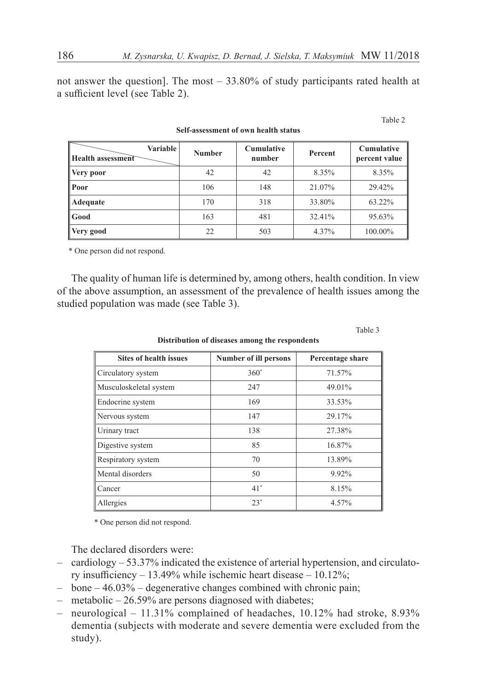not answer the question]. The most – 33.80% of study participants rated health at a sufficient level (see Table 2).

| Variable<br><b>Health assessment</b> | <b>Number</b> | <b>Cumulative</b><br>number | Percent | <b>Cumulative</b><br>percent value |
|--------------------------------------|---------------|-----------------------------|---------|------------------------------------|
| Very poor                            | 42            | 42                          | 8.35%   | 8.35%                              |
| Poor                                 | 106           | 148                         | 21.07%  | 29.42%                             |
| Adequate                             | 170           | 318                         | 33.80%  | 63.22%                             |
| Good                                 | 163           | 481                         | 32.41%  | 95.63%                             |
| Very good                            | 22            | 503                         | 4.37%   | 100.00%                            |

**Self-assessment of own health status**

\* One person did not respond.

The quality of human life is determined by, among others, health condition. In view of the above assumption, an assessment of the prevalence of health issues among the studied population was made (see Table 3).

Table 3

Table 2

**Distribution of diseases among the respondents**

| <b>Sites of health issues</b> | <b>Number of ill persons</b> | Percentage share |  |
|-------------------------------|------------------------------|------------------|--|
| Circulatory system            | $360*$                       | 71.57%           |  |
| Musculoskeletal system        | 247                          | 49.01%           |  |
| Endocrine system              | 169                          | 33.53%           |  |
| Nervous system                | 147                          | 29.17%           |  |
| Urinary tract                 | 138                          | 27.38%           |  |
| Digestive system              | 85                           | 16.87%           |  |
| Respiratory system            | 70                           | 13.89%           |  |
| Mental disorders              | 50                           | 9.92%            |  |
| Cancer                        | $41*$                        | 8.15%            |  |
| Allergies                     | $23*$                        | 4.57%            |  |

\* One person did not respond.

The declared disorders were:

- cardiology 53.37% indicated the existence of arterial hypertension, and circulatory insufficiency – 13.49% while ischemic heart disease – 10.12%;
- $-$  bone  $-46.03\%$  degenerative changes combined with chronic pain;
- metabolic 26.59% are persons diagnosed with diabetes;
- neurological 11.31% complained of headaches, 10.12% had stroke, 8.93% dementia (subjects with moderate and severe dementia were excluded from the study).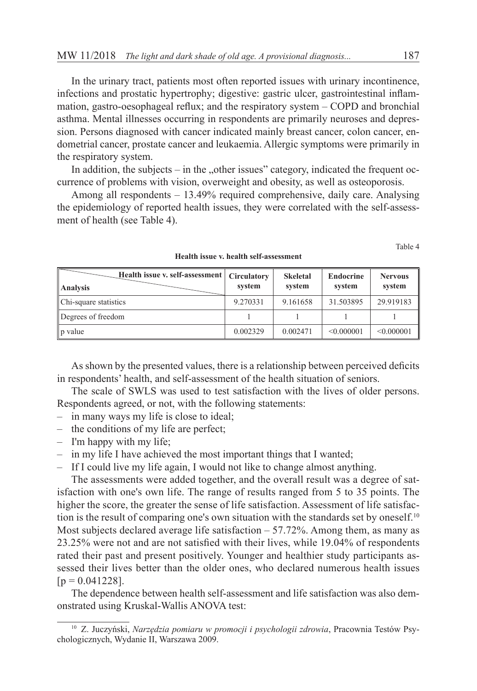In the urinary tract, patients most often reported issues with urinary incontinence, infections and prostatic hypertrophy; digestive: gastric ulcer, gastrointestinal inflammation, gastro-oesophageal reflux; and the respiratory system – COPD and bronchial asthma. Mental illnesses occurring in respondents are primarily neuroses and depression. Persons diagnosed with cancer indicated mainly breast cancer, colon cancer, endometrial cancer, prostate cancer and leukaemia. Allergic symptoms were primarily in the respiratory system.

In addition, the subjects – in the "other issues" category, indicated the frequent occurrence of problems with vision, overweight and obesity, as well as osteoporosis.

Among all respondents – 13.49% required comprehensive, daily care. Analysing the epidemiology of reported health issues, they were correlated with the self-assessment of health (see Table 4).

Table 4

| Health issue v. self-assessment   Circulatory<br>   Analysis | system   | <b>Skeletal</b><br>system | Endocrine<br>system | <b>Nervous</b><br>system |
|--------------------------------------------------------------|----------|---------------------------|---------------------|--------------------------|
| Chi-square statistics                                        | 9.270331 | 9.161658                  | 31.503895           | 29.919183                |
| Degrees of freedom                                           |          |                           |                     |                          |
| $\ $ p value                                                 | 0.002329 | 0.002471                  | $\leq 0.000001$     | $\leq 0.000001$          |

**Health issue v. health self-assessment**

As shown by the presented values, there is a relationship between perceived deficits in respondents' health, and self-assessment of the health situation of seniors.

The scale of SWLS was used to test satisfaction with the lives of older persons. Respondents agreed, or not, with the following statements:

- in many ways my life is close to ideal;
- the conditions of my life are perfect;
- I'm happy with my life;
- in my life I have achieved the most important things that I wanted;
- If I could live my life again, I would not like to change almost anything.

The assessments were added together, and the overall result was a degree of satisfaction with one's own life. The range of results ranged from 5 to 35 points. The higher the score, the greater the sense of life satisfaction. Assessment of life satisfaction is the result of comparing one's own situation with the standards set by oneself.<sup>10</sup> Most subjects declared average life satisfaction  $-57.72\%$ . Among them, as many as 23.25% were not and are not satisfied with their lives, while 19.04% of respondents rated their past and present positively. Younger and healthier study participants assessed their lives better than the older ones, who declared numerous health issues  $[p = 0.041228]$ .

The dependence between health self-assessment and life satisfaction was also demonstrated using Kruskal-Wallis ANOVA test:

<sup>10</sup> Z. Juczyński, *Narzędzia pomiaru w promocji i psychologii zdrowia*, Pracownia Testów Psychologicznych, Wydanie II, Warszawa 2009.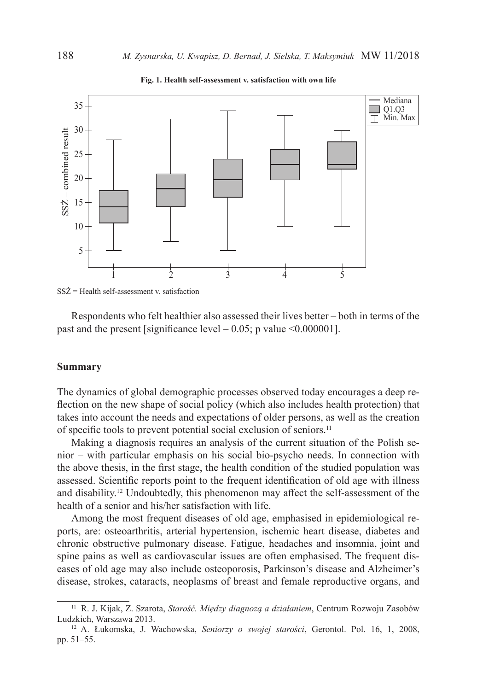

**Fig. 1. Health self-assessment v. satisfaction with own life**

Respondents who felt healthier also assessed their lives better – both in terms of the past and the present [significance level  $-0.05$ ; p value  $\leq 0.000001$ ].

### **Summary**

The dynamics of global demographic processes observed today encourages a deep reflection on the new shape of social policy (which also includes health protection) that takes into account the needs and expectations of older persons, as well as the creation of specific tools to prevent potential social exclusion of seniors.<sup>11</sup>

Making a diagnosis requires an analysis of the current situation of the Polish senior – with particular emphasis on his social bio-psycho needs. In connection with the above thesis, in the first stage, the health condition of the studied population was assessed. Scientific reports point to the frequent identification of old age with illness and disability.12 Undoubtedly, this phenomenon may affect the self-assessment of the health of a senior and his/her satisfaction with life.

Among the most frequent diseases of old age, emphasised in epidemiological reports, are: osteoarthritis, arterial hypertension, ischemic heart disease, diabetes and chronic obstructive pulmonary disease. Fatigue, headaches and insomnia, joint and spine pains as well as cardiovascular issues are often emphasised. The frequent diseases of old age may also include osteoporosis, Parkinson's disease and Alzheimer's disease, strokes, cataracts, neoplasms of breast and female reproductive organs, and

SSŻ = Health self-assessment v. satisfaction

<sup>11</sup> R. J. Kijak, Z. Szarota, *Starość. Między diagnozą a działaniem*, Centrum Rozwoju Zasobów Ludzkich, Warszawa 2013.

<sup>12</sup> A. Łukomska, J. Wachowska, *Seniorzy o swojej starości*, Gerontol. Pol. 16, 1, 2008, pp. 51–55.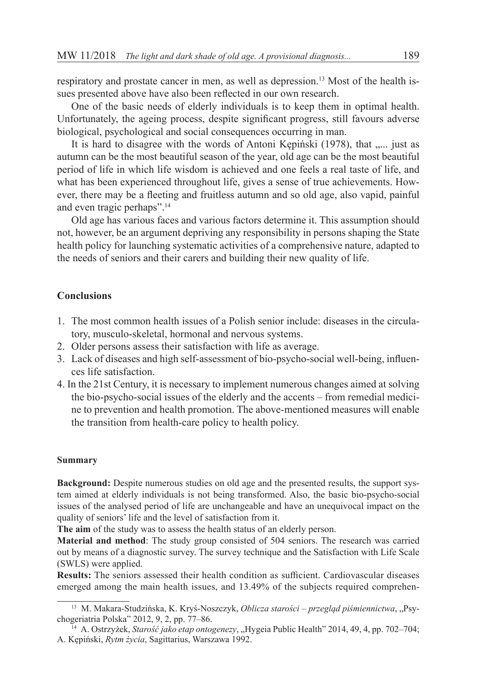respiratory and prostate cancer in men, as well as depression.<sup>13</sup> Most of the health issues presented above have also been reflected in our own research.

One of the basic needs of elderly individuals is to keep them in optimal health. Unfortunately, the ageing process, despite significant progress, still favours adverse biological, psychological and social consequences occurring in man.

It is hard to disagree with the words of Antoni Kępiński (1978), that ..... just as autumn can be the most beautiful season of the year, old age can be the most beautiful period of life in which life wisdom is achieved and one feels a real taste of life, and what has been experienced throughout life, gives a sense of true achievements. However, there may be a fleeting and fruitless autumn and so old age, also vapid, painful and even tragic perhaps".14

Old age has various faces and various factors determine it. This assumption should not, however, be an argument depriving any responsibility in persons shaping the State health policy for launching systematic activities of a comprehensive nature, adapted to the needs of seniors and their carers and building their new quality of life.

# **Conclusions**

- 1. The most common health issues of a Polish senior include: diseases in the circulatory, musculo-skeletal, hormonal and nervous systems.
- 2. Older persons assess their satisfaction with life as average.
- 3. Lack of diseases and high self-assessment of bio-psycho-social well-being, influences life satisfaction.
- 4. In the 21st Century, it is necessary to implement numerous changes aimed at solving the bio-psycho-social issues of the elderly and the accents – from remedial medicine to prevention and health promotion. The above-mentioned measures will enable the transition from health-care policy to health policy.

#### **Summary**

**Background:** Despite numerous studies on old age and the presented results, the support system aimed at elderly individuals is not being transformed. Also, the basic bio-psycho-social issues of the analysed period of life are unchangeable and have an unequivocal impact on the quality of seniors' life and the level of satisfaction from it.

**The aim** of the study was to assess the health status of an elderly person.

**Material and method**: The study group consisted of 504 seniors. The research was carried out by means of a diagnostic survey. The survey technique and the Satisfaction with Life Scale (SWLS) were applied.

**Results:** The seniors assessed their health condition as sufficient. Cardiovascular diseases emerged among the main health issues, and 13.49% of the subjects required comprehen-

<sup>&</sup>lt;sup>13</sup> M. Makara-Studzińska, K. Kryś-Noszczyk, Oblicza starości – przegląd piśmiennictwa, "Psychogeriatria Polska" 2012, 9, 2, pp. 77–86.

<sup>&</sup>lt;sup>14</sup> A. Ostrzyżek, *Starość jako etap ontogenezy*, "Hygeia Public Health" 2014, 49, 4, pp. 702–704; A. Kępiński, *Rytm życia*, Sagittarius, Warszawa 1992.